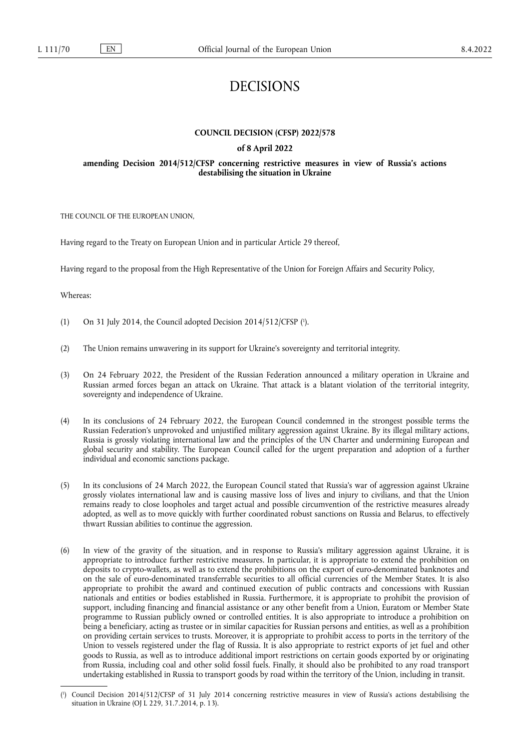# DECISIONS

# **COUNCIL DECISION (CFSP) 2022/578**

## **of 8 April 2022**

### **amending Decision 2014/512/CFSP concerning restrictive measures in view of Russia's actions destabilising the situation in Ukraine**

THE COUNCIL OF THE EUROPEAN UNION,

Having regard to the Treaty on European Union and in particular Article 29 thereof,

Having regard to the proposal from the High Representative of the Union for Foreign Affairs and Security Policy,

Whereas:

- <span id="page-0-1"></span>[\(](#page-0-0)1) On 31 July 2014, the Council adopted Decision  $2014/512/CFSP$  ( $\degree$ ).
- (2) The Union remains unwavering in its support for Ukraine's sovereignty and territorial integrity.
- (3) On 24 February 2022, the President of the Russian Federation announced a military operation in Ukraine and Russian armed forces began an attack on Ukraine. That attack is a blatant violation of the territorial integrity, sovereignty and independence of Ukraine.
- (4) In its conclusions of 24 February 2022, the European Council condemned in the strongest possible terms the Russian Federation's unprovoked and unjustified military aggression against Ukraine. By its illegal military actions, Russia is grossly violating international law and the principles of the UN Charter and undermining European and global security and stability. The European Council called for the urgent preparation and adoption of a further individual and economic sanctions package.
- (5) In its conclusions of 24 March 2022, the European Council stated that Russia's war of aggression against Ukraine grossly violates international law and is causing massive loss of lives and injury to civilians, and that the Union remains ready to close loopholes and target actual and possible circumvention of the restrictive measures already adopted, as well as to move quickly with further coordinated robust sanctions on Russia and Belarus, to effectively thwart Russian abilities to continue the aggression.
- (6) In view of the gravity of the situation, and in response to Russia's military aggression against Ukraine, it is appropriate to introduce further restrictive measures. In particular, it is appropriate to extend the prohibition on deposits to crypto-wallets, as well as to extend the prohibitions on the export of euro-denominated banknotes and on the sale of euro-denominated transferrable securities to all official currencies of the Member States. It is also appropriate to prohibit the award and continued execution of public contracts and concessions with Russian nationals and entities or bodies established in Russia. Furthermore, it is appropriate to prohibit the provision of support, including financing and financial assistance or any other benefit from a Union, Euratom or Member State programme to Russian publicly owned or controlled entities. It is also appropriate to introduce a prohibition on being a beneficiary, acting as trustee or in similar capacities for Russian persons and entities, as well as a prohibition on providing certain services to trusts. Moreover, it is appropriate to prohibit access to ports in the territory of the Union to vessels registered under the flag of Russia. It is also appropriate to restrict exports of jet fuel and other goods to Russia, as well as to introduce additional import restrictions on certain goods exported by or originating from Russia, including coal and other solid fossil fuels. Finally, it should also be prohibited to any road transport undertaking established in Russia to transport goods by road within the territory of the Union, including in transit.

<span id="page-0-0"></span>[<sup>\(</sup>](#page-0-1) 1 ) Council Decision 2014/512/CFSP of 31 July 2014 concerning restrictive measures in view of Russia's actions destabilising the situation in Ukraine (OJ L 229, 31.7.2014, p. 13).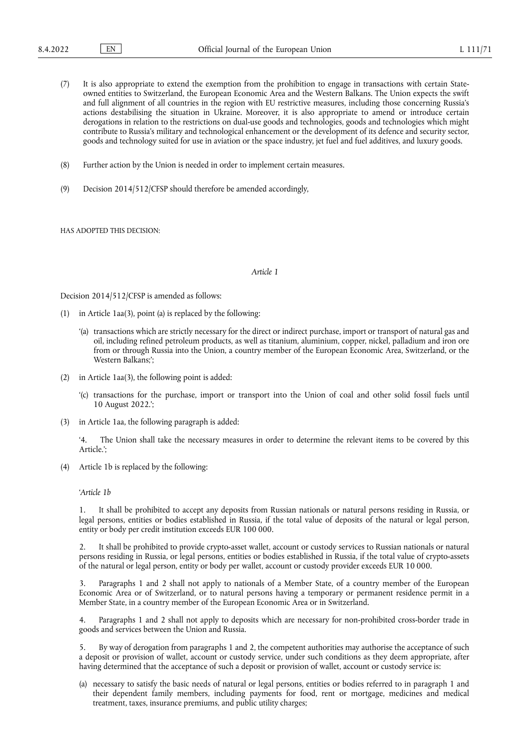- (7) It is also appropriate to extend the exemption from the prohibition to engage in transactions with certain Stateowned entities to Switzerland, the European Economic Area and the Western Balkans. The Union expects the swift and full alignment of all countries in the region with EU restrictive measures, including those concerning Russia's actions destabilising the situation in Ukraine. Moreover, it is also appropriate to amend or introduce certain derogations in relation to the restrictions on dual-use goods and technologies, goods and technologies which might contribute to Russia's military and technological enhancement or the development of its defence and security sector, goods and technology suited for use in aviation or the space industry, jet fuel and fuel additives, and luxury goods.
- (8) Further action by the Union is needed in order to implement certain measures.
- (9) Decision 2014/512/CFSP should therefore be amended accordingly,

HAS ADOPTED THIS DECISION:

#### *Article 1*

Decision 2014/512/CFSP is amended as follows:

- (1) in Article 1aa(3), point (a) is replaced by the following:
	- '(a) transactions which are strictly necessary for the direct or indirect purchase, import or transport of natural gas and oil, including refined petroleum products, as well as titanium, aluminium, copper, nickel, palladium and iron ore from or through Russia into the Union, a country member of the European Economic Area, Switzerland, or the Western Balkans;';
- (2) in Article 1aa(3), the following point is added:
	- '(c) transactions for the purchase, import or transport into the Union of coal and other solid fossil fuels until 10 August 2022.';
- (3) in Article 1aa, the following paragraph is added:

'4. The Union shall take the necessary measures in order to determine the relevant items to be covered by this Article.';

Article 1b is replaced by the following:

'*Article 1b*

1. It shall be prohibited to accept any deposits from Russian nationals or natural persons residing in Russia, or legal persons, entities or bodies established in Russia, if the total value of deposits of the natural or legal person, entity or body per credit institution exceeds EUR 100 000.

2. It shall be prohibited to provide crypto-asset wallet, account or custody services to Russian nationals or natural persons residing in Russia, or legal persons, entities or bodies established in Russia, if the total value of crypto-assets of the natural or legal person, entity or body per wallet, account or custody provider exceeds EUR 10 000.

3. Paragraphs 1 and 2 shall not apply to nationals of a Member State, of a country member of the European Economic Area or of Switzerland, or to natural persons having a temporary or permanent residence permit in a Member State, in a country member of the European Economic Area or in Switzerland.

4. Paragraphs 1 and 2 shall not apply to deposits which are necessary for non-prohibited cross-border trade in goods and services between the Union and Russia.

5. By way of derogation from paragraphs 1 and 2, the competent authorities may authorise the acceptance of such a deposit or provision of wallet, account or custody service, under such conditions as they deem appropriate, after having determined that the acceptance of such a deposit or provision of wallet, account or custody service is:

(a) necessary to satisfy the basic needs of natural or legal persons, entities or bodies referred to in paragraph 1 and their dependent family members, including payments for food, rent or mortgage, medicines and medical treatment, taxes, insurance premiums, and public utility charges;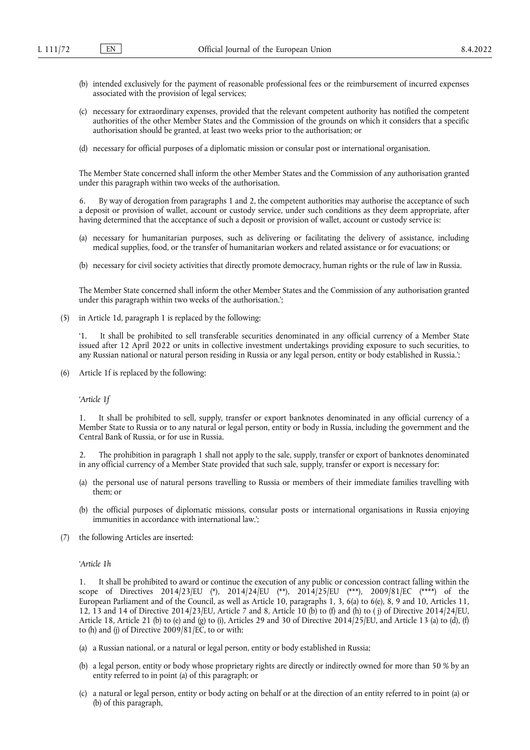- (b) intended exclusively for the payment of reasonable professional fees or the reimbursement of incurred expenses associated with the provision of legal services;
- (c) necessary for extraordinary expenses, provided that the relevant competent authority has notified the competent authorities of the other Member States and the Commission of the grounds on which it considers that a specific authorisation should be granted, at least two weeks prior to the authorisation; or
- (d) necessary for official purposes of a diplomatic mission or consular post or international organisation.

The Member State concerned shall inform the other Member States and the Commission of any authorisation granted under this paragraph within two weeks of the authorisation.

6. By way of derogation from paragraphs 1 and 2, the competent authorities may authorise the acceptance of such a deposit or provision of wallet, account or custody service, under such conditions as they deem appropriate, after having determined that the acceptance of such a deposit or provision of wallet, account or custody service is:

- (a) necessary for humanitarian purposes, such as delivering or facilitating the delivery of assistance, including medical supplies, food, or the transfer of humanitarian workers and related assistance or for evacuations; or
- (b) necessary for civil society activities that directly promote democracy, human rights or the rule of law in Russia.

The Member State concerned shall inform the other Member States and the Commission of any authorisation granted under this paragraph within two weeks of the authorisation.';

(5) in Article 1d, paragraph 1 is replaced by the following:

'1. It shall be prohibited to sell transferable securities denominated in any official currency of a Member State issued after 12 April 2022 or units in collective investment undertakings providing exposure to such securities, to any Russian national or natural person residing in Russia or any legal person, entity or body established in Russia.';

(6) Article 1f is replaced by the following:

'*Article 1f*

1. It shall be prohibited to sell, supply, transfer or export banknotes denominated in any official currency of a Member State to Russia or to any natural or legal person, entity or body in Russia, including the government and the Central Bank of Russia, or for use in Russia.

2. The prohibition in paragraph 1 shall not apply to the sale, supply, transfer or export of banknotes denominated in any official currency of a Member State provided that such sale, supply, transfer or export is necessary for:

- (a) the personal use of natural persons travelling to Russia or members of their immediate families travelling with them; or
- (b) the official purposes of diplomatic missions, consular posts or international organisations in Russia enjoying immunities in accordance with international law.';
- (7) the following Articles are inserted:

#### '*Article 1h*

1. It shall be prohibited to award or continue the execution of any public or concession contract falling within the scope of Directives 2014/23/EU [\(\\*\),](#page-4-0) 2014/24/EU [\(\\*\\*\)](#page-4-1), 2014/25/E[U \(\\*\\*\\*\)](#page-4-2), 2009/81/EC [\(\\*\\*\\*\\*\)](#page-4-3) of the European Parliament and of the Council, as well as Article 10, paragraphs 1, 3, 6(a) to 6(e), 8, 9 and 10, Articles 11, 12, 13 and 14 of Directive 2014/23/EU, Article 7 and 8, Article 10 (b) to (f) and (h) to (j) of Directive 2014/24/EU, Article 18, Article 21 (b) to (e) and (g) to (i), Articles 29 and 30 of Directive 2014/25/EU, and Article 13 (a) to (d), (f) to (h) and (j) of Directive 2009/81/EC, to or with:

- (a) a Russian national, or a natural or legal person, entity or body established in Russia;
- (b) a legal person, entity or body whose proprietary rights are directly or indirectly owned for more than 50 % by an entity referred to in point (a) of this paragraph; or
- (c) a natural or legal person, entity or body acting on behalf or at the direction of an entity referred to in point (a) or (b) of this paragraph,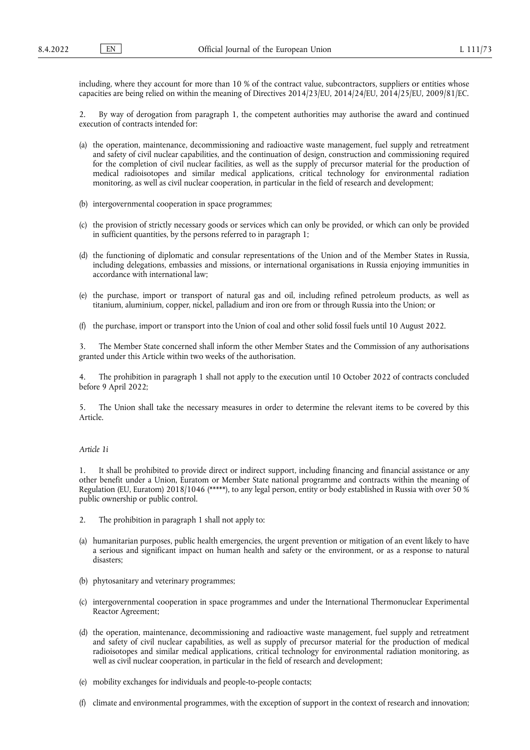including, where they account for more than 10 % of the contract value, subcontractors, suppliers or entities whose capacities are being relied on within the meaning of Directives 2014/23/EU, 2014/24/EU, 2014/25/EU, 2009/81/EC.

2. By way of derogation from paragraph 1, the competent authorities may authorise the award and continued execution of contracts intended for:

- (a) the operation, maintenance, decommissioning and radioactive waste management, fuel supply and retreatment and safety of civil nuclear capabilities, and the continuation of design, construction and commissioning required for the completion of civil nuclear facilities, as well as the supply of precursor material for the production of medical radioisotopes and similar medical applications, critical technology for environmental radiation monitoring, as well as civil nuclear cooperation, in particular in the field of research and development;
- (b) intergovernmental cooperation in space programmes;
- (c) the provision of strictly necessary goods or services which can only be provided, or which can only be provided in sufficient quantities, by the persons referred to in paragraph 1;
- (d) the functioning of diplomatic and consular representations of the Union and of the Member States in Russia, including delegations, embassies and missions, or international organisations in Russia enjoying immunities in accordance with international law;
- (e) the purchase, import or transport of natural gas and oil, including refined petroleum products, as well as titanium, aluminium, copper, nickel, palladium and iron ore from or through Russia into the Union; or
- (f) the purchase, import or transport into the Union of coal and other solid fossil fuels until 10 August 2022.

3. The Member State concerned shall inform the other Member States and the Commission of any authorisations granted under this Article within two weeks of the authorisation.

4. The prohibition in paragraph 1 shall not apply to the execution until 10 October 2022 of contracts concluded before 9 April 2022;

5. The Union shall take the necessary measures in order to determine the relevant items to be covered by this Article.

## *Article 1i*

1. It shall be prohibited to provide direct or indirect support, including financing and financial assistance or any other benefit under a Union, Euratom or Member State national programme and contracts within the meaning of Regulation (EU, Euratom) 2018/104[6 \(\\*\\*\\*\\*\\*\)](#page-4-4), to any legal person, entity or body established in Russia with over 50 % public ownership or public control.

- 2. The prohibition in paragraph 1 shall not apply to:
- (a) humanitarian purposes, public health emergencies, the urgent prevention or mitigation of an event likely to have a serious and significant impact on human health and safety or the environment, or as a response to natural disasters;
- (b) phytosanitary and veterinary programmes;
- (c) intergovernmental cooperation in space programmes and under the International Thermonuclear Experimental Reactor Agreement;
- (d) the operation, maintenance, decommissioning and radioactive waste management, fuel supply and retreatment and safety of civil nuclear capabilities, as well as supply of precursor material for the production of medical radioisotopes and similar medical applications, critical technology for environmental radiation monitoring, as well as civil nuclear cooperation, in particular in the field of research and development;
- (e) mobility exchanges for individuals and people-to-people contacts;
- (f) climate and environmental programmes, with the exception of support in the context of research and innovation;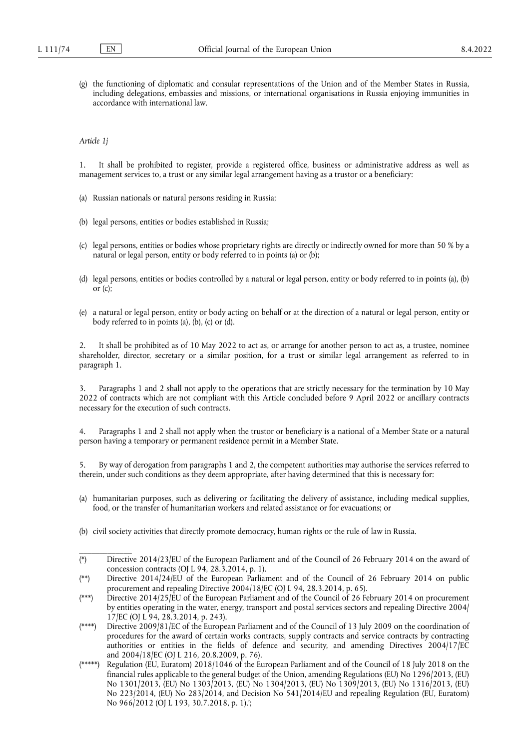(g) the functioning of diplomatic and consular representations of the Union and of the Member States in Russia, including delegations, embassies and missions, or international organisations in Russia enjoying immunities in accordance with international law.

*Article 1j*

\_\_\_\_\_\_\_\_\_\_\_\_\_

1. It shall be prohibited to register, provide a registered office, business or administrative address as well as management services to, a trust or any similar legal arrangement having as a trustor or a beneficiary:

- (a) Russian nationals or natural persons residing in Russia;
- (b) legal persons, entities or bodies established in Russia;
- (c) legal persons, entities or bodies whose proprietary rights are directly or indirectly owned for more than 50 % by a natural or legal person, entity or body referred to in points (a) or (b);
- (d) legal persons, entities or bodies controlled by a natural or legal person, entity or body referred to in points (a), (b) or (c);
- (e) a natural or legal person, entity or body acting on behalf or at the direction of a natural or legal person, entity or body referred to in points (a), (b), (c) or (d).

2. It shall be prohibited as of 10 May 2022 to act as, or arrange for another person to act as, a trustee, nominee shareholder, director, secretary or a similar position, for a trust or similar legal arrangement as referred to in paragraph 1.

3. Paragraphs 1 and 2 shall not apply to the operations that are strictly necessary for the termination by 10 May 2022 of contracts which are not compliant with this Article concluded before 9 April 2022 or ancillary contracts necessary for the execution of such contracts.

4. Paragraphs 1 and 2 shall not apply when the trustor or beneficiary is a national of a Member State or a natural person having a temporary or permanent residence permit in a Member State.

5. By way of derogation from paragraphs 1 and 2, the competent authorities may authorise the services referred to therein, under such conditions as they deem appropriate, after having determined that this is necessary for:

- (a) humanitarian purposes, such as delivering or facilitating the delivery of assistance, including medical supplies, food, or the transfer of humanitarian workers and related assistance or for evacuations; or
- (b) civil society activities that directly promote democracy, human rights or the rule of law in Russia.

<span id="page-4-0"></span><sup>(\*)</sup> Directive 2014/23/EU of the European Parliament and of the Council of 26 February 2014 on the award of concession contracts (OJ L 94, 28.3.2014, p. 1).

<span id="page-4-1"></span><sup>(\*\*)</sup> Directive 2014/24/EU of the European Parliament and of the Council of 26 February 2014 on public procurement and repealing Directive 2004/18/EC (OJ L 94, 28.3.2014, p. 65).

<span id="page-4-2"></span><sup>(\*\*\*)</sup> Directive 2014/25/EU of the European Parliament and of the Council of 26 February 2014 on procurement by entities operating in the water, energy, transport and postal services sectors and repealing Directive 2004/ 17/EC (OJ L 94, 28.3.2014, p. 243).

<span id="page-4-3"></span><sup>(\*\*\*\*)</sup> Directive 2009/81/EC of the European Parliament and of the Council of 13 July 2009 on the coordination of procedures for the award of certain works contracts, supply contracts and service contracts by contracting authorities or entities in the fields of defence and security, and amending Directives 2004/17/EC and 2004/18/EC (OJ L 216, 20.8.2009, p. 76).

<span id="page-4-4"></span><sup>(\*\*\*\*\*)</sup> Regulation (EU, Euratom) 2018/1046 of the European Parliament and of the Council of 18 July 2018 on the financial rules applicable to the general budget of the Union, amending Regulations (EU) No 1296/2013, (EU) No 1301/2013, (EU) No 1303/2013, (EU) No 1304/2013, (EU) No 1309/2013, (EU) No 1316/2013, (EU) No 223/2014, (EU) No 283/2014, and Decision No 541/2014/EU and repealing Regulation (EU, Euratom) No 966/2012 (OJ L 193, 30.7.2018, p. 1).';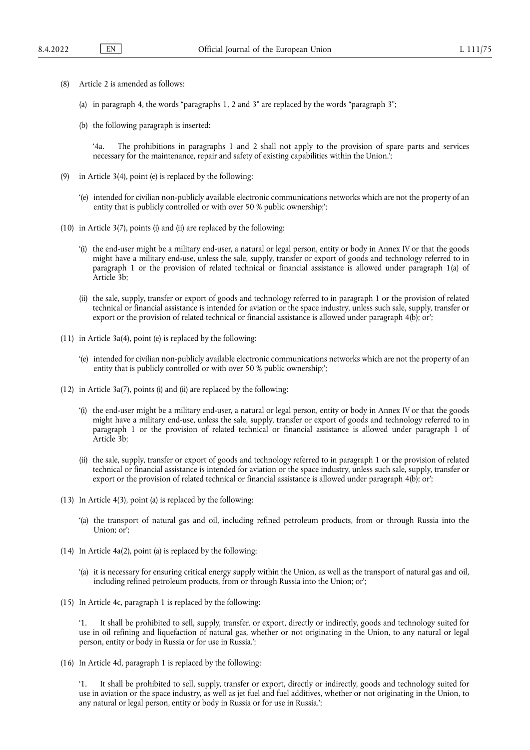- (8) Article 2 is amended as follows:
	- (a) in paragraph 4, the words "paragraphs 1, 2 and 3" are replaced by the words "paragraph 3";
	- (b) the following paragraph is inserted:

'4a. The prohibitions in paragraphs 1 and 2 shall not apply to the provision of spare parts and services necessary for the maintenance, repair and safety of existing capabilities within the Union.';

- (9) in Article 3(4), point (e) is replaced by the following:
	- '(e) intended for civilian non-publicly available electronic communications networks which are not the property of an entity that is publicly controlled or with over 50 % public ownership;';
- (10) in Article 3(7), points (i) and (ii) are replaced by the following:
	- '(i) the end-user might be a military end-user, a natural or legal person, entity or body in Annex IV or that the goods might have a military end-use, unless the sale, supply, transfer or export of goods and technology referred to in paragraph 1 or the provision of related technical or financial assistance is allowed under paragraph 1(a) of Article 3b;
	- (ii) the sale, supply, transfer or export of goods and technology referred to in paragraph 1 or the provision of related technical or financial assistance is intended for aviation or the space industry, unless such sale, supply, transfer or export or the provision of related technical or financial assistance is allowed under paragraph 4(b); or';
- (11) in Article 3a(4), point (e) is replaced by the following:
	- '(e) intended for civilian non-publicly available electronic communications networks which are not the property of an entity that is publicly controlled or with over 50 % public ownership;';
- (12) in Article 3a(7), points (i) and (ii) are replaced by the following:
	- '(i) the end-user might be a military end-user, a natural or legal person, entity or body in Annex IV or that the goods might have a military end-use, unless the sale, supply, transfer or export of goods and technology referred to in paragraph 1 or the provision of related technical or financial assistance is allowed under paragraph 1 of Article 3b;
	- (ii) the sale, supply, transfer or export of goods and technology referred to in paragraph 1 or the provision of related technical or financial assistance is intended for aviation or the space industry, unless such sale, supply, transfer or export or the provision of related technical or financial assistance is allowed under paragraph 4(b); or';
- (13) In Article 4(3), point (a) is replaced by the following:
	- '(a) the transport of natural gas and oil, including refined petroleum products, from or through Russia into the Union; or';
- (14) In Article 4a(2), point (a) is replaced by the following:
	- '(a) it is necessary for ensuring critical energy supply within the Union, as well as the transport of natural gas and oil, including refined petroleum products, from or through Russia into the Union; or';
- (15) In Article 4c, paragraph 1 is replaced by the following:

'1. It shall be prohibited to sell, supply, transfer, or export, directly or indirectly, goods and technology suited for use in oil refining and liquefaction of natural gas, whether or not originating in the Union, to any natural or legal person, entity or body in Russia or for use in Russia.';

(16) In Article 4d, paragraph 1 is replaced by the following:

'1. It shall be prohibited to sell, supply, transfer or export, directly or indirectly, goods and technology suited for use in aviation or the space industry, as well as jet fuel and fuel additives, whether or not originating in the Union, to any natural or legal person, entity or body in Russia or for use in Russia.';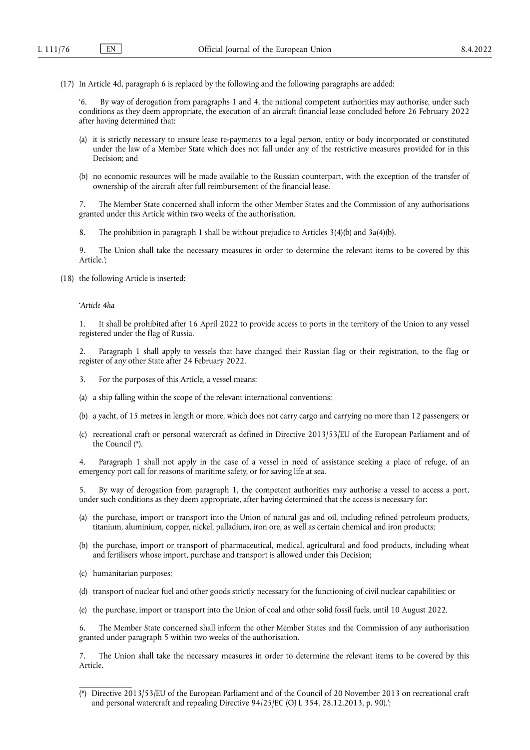(17) In Article 4d, paragraph 6 is replaced by the following and the following paragraphs are added:

By way of derogation from paragraphs 1 and 4, the national competent authorities may authorise, under such conditions as they deem appropriate, the execution of an aircraft financial lease concluded before 26 February 2022 after having determined that:

- (a) it is strictly necessary to ensure lease re-payments to a legal person, entity or body incorporated or constituted under the law of a Member State which does not fall under any of the restrictive measures provided for in this Decision; and
- (b) no economic resources will be made available to the Russian counterpart, with the exception of the transfer of ownership of the aircraft after full reimbursement of the financial lease.

7. The Member State concerned shall inform the other Member States and the Commission of any authorisations granted under this Article within two weeks of the authorisation.

8. The prohibition in paragraph 1 shall be without prejudice to Articles 3(4)(b) and 3a(4)(b).

9. The Union shall take the necessary measures in order to determine the relevant items to be covered by this Article.';

(18) the following Article is inserted:

#### '*Article 4ha*

1. It shall be prohibited after 16 April 2022 to provide access to ports in the territory of the Union to any vessel registered under the flag of Russia.

2. Paragraph 1 shall apply to vessels that have changed their Russian flag or their registration, to the flag or register of any other State after 24 February 2022.

- 3. For the purposes of this Article, a vessel means:
- (a) a ship falling within the scope of the relevant international conventions;
- (b) a yacht, of 15 metres in length or more, which does not carry cargo and carrying no more than 12 passengers; or
- (c) recreational craft or personal watercraft as defined in Directive 2013/53/EU of the European Parliament and of the Council [\(\\*\).](#page-6-0)

4. Paragraph 1 shall not apply in the case of a vessel in need of assistance seeking a place of refuge, of an emergency port call for reasons of maritime safety, or for saving life at sea.

5. By way of derogation from paragraph 1, the competent authorities may authorise a vessel to access a port, under such conditions as they deem appropriate, after having determined that the access is necessary for:

- (a) the purchase, import or transport into the Union of natural gas and oil, including refined petroleum products, titanium, aluminium, copper, nickel, palladium, iron ore, as well as certain chemical and iron products;
- (b) the purchase, import or transport of pharmaceutical, medical, agricultural and food products, including wheat and fertilisers whose import, purchase and transport is allowed under this Decision;
- (c) humanitarian purposes;

\_\_\_\_\_\_\_\_\_\_\_\_\_

- (d) transport of nuclear fuel and other goods strictly necessary for the functioning of civil nuclear capabilities; or
- (e) the purchase, import or transport into the Union of coal and other solid fossil fuels, until 10 August 2022.

6. The Member State concerned shall inform the other Member States and the Commission of any authorisation granted under paragraph 5 within two weeks of the authorisation.

7. The Union shall take the necessary measures in order to determine the relevant items to be covered by this Article.

<span id="page-6-0"></span><sup>(\*)</sup> Directive 2013/53/EU of the European Parliament and of the Council of 20 November 2013 on recreational craft and personal watercraft and repealing Directive 94/25/EC (OJ L 354, 28.12.2013, p. 90).';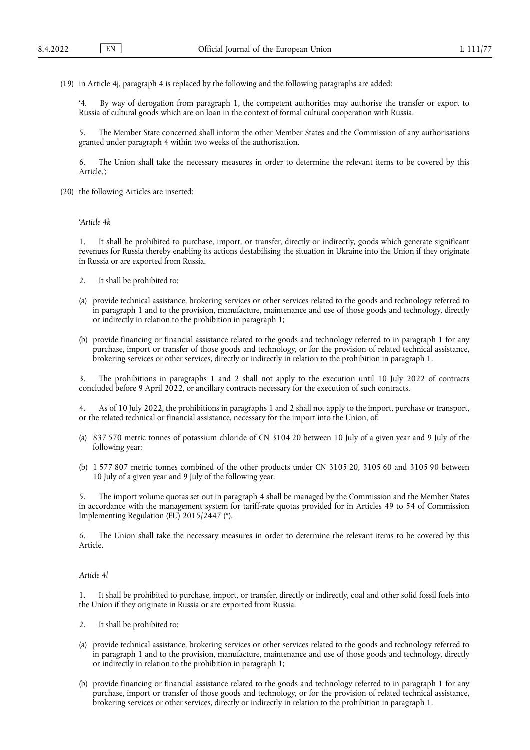(19) in Article 4j, paragraph 4 is replaced by the following and the following paragraphs are added:

By way of derogation from paragraph 1, the competent authorities may authorise the transfer or export to Russia of cultural goods which are on loan in the context of formal cultural cooperation with Russia.

5. The Member State concerned shall inform the other Member States and the Commission of any authorisations granted under paragraph 4 within two weeks of the authorisation.

6. The Union shall take the necessary measures in order to determine the relevant items to be covered by this Article.';

(20) the following Articles are inserted:

'*Article 4k*

1. It shall be prohibited to purchase, import, or transfer, directly or indirectly, goods which generate significant revenues for Russia thereby enabling its actions destabilising the situation in Ukraine into the Union if they originate in Russia or are exported from Russia.

- 2. It shall be prohibited to:
- (a) provide technical assistance, brokering services or other services related to the goods and technology referred to in paragraph 1 and to the provision, manufacture, maintenance and use of those goods and technology, directly or indirectly in relation to the prohibition in paragraph 1;
- (b) provide financing or financial assistance related to the goods and technology referred to in paragraph 1 for any purchase, import or transfer of those goods and technology, or for the provision of related technical assistance, brokering services or other services, directly or indirectly in relation to the prohibition in paragraph 1.

3. The prohibitions in paragraphs 1 and 2 shall not apply to the execution until 10 July 2022 of contracts concluded before 9 April 2022, or ancillary contracts necessary for the execution of such contracts.

4. As of 10 July 2022, the prohibitions in paragraphs 1 and 2 shall not apply to the import, purchase or transport, or the related technical or financial assistance, necessary for the import into the Union, of:

- (a) 837 570 metric tonnes of potassium chloride of CN 3104 20 between 10 July of a given year and 9 July of the following year;
- (b) 1 577 807 metric tonnes combined of the other products under CN 3105 20, 3105 60 and 3105 90 between 10 July of a given year and 9 July of the following year.

5. The import volume quotas set out in paragraph 4 shall be managed by the Commission and the Member States in accordance with the management system for tariff-rate quotas provided for in Articles 49 to 54 of Commission Implementing Regulation (EU) 2015/2447 [\(\\*\).](#page-9-0)

6. The Union shall take the necessary measures in order to determine the relevant items to be covered by this Article.

# *Article 4l*

1. It shall be prohibited to purchase, import, or transfer, directly or indirectly, coal and other solid fossil fuels into the Union if they originate in Russia or are exported from Russia.

- 2. It shall be prohibited to:
- (a) provide technical assistance, brokering services or other services related to the goods and technology referred to in paragraph 1 and to the provision, manufacture, maintenance and use of those goods and technology, directly or indirectly in relation to the prohibition in paragraph 1;
- (b) provide financing or financial assistance related to the goods and technology referred to in paragraph 1 for any purchase, import or transfer of those goods and technology, or for the provision of related technical assistance, brokering services or other services, directly or indirectly in relation to the prohibition in paragraph 1.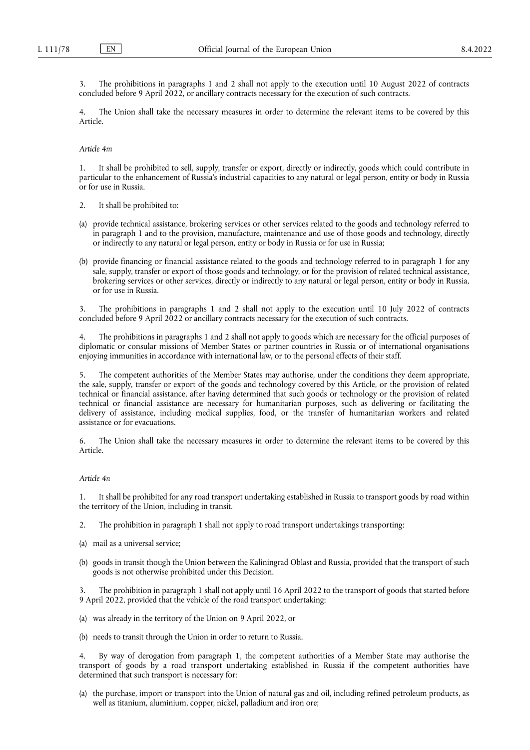3. The prohibitions in paragraphs 1 and 2 shall not apply to the execution until 10 August 2022 of contracts concluded before 9 April 2022, or ancillary contracts necessary for the execution of such contracts.

4. The Union shall take the necessary measures in order to determine the relevant items to be covered by this Article.

#### *Article 4m*

1. It shall be prohibited to sell, supply, transfer or export, directly or indirectly, goods which could contribute in particular to the enhancement of Russia's industrial capacities to any natural or legal person, entity or body in Russia or for use in Russia.

- 2. It shall be prohibited to:
- (a) provide technical assistance, brokering services or other services related to the goods and technology referred to in paragraph 1 and to the provision, manufacture, maintenance and use of those goods and technology, directly or indirectly to any natural or legal person, entity or body in Russia or for use in Russia;
- (b) provide financing or financial assistance related to the goods and technology referred to in paragraph 1 for any sale, supply, transfer or export of those goods and technology, or for the provision of related technical assistance, brokering services or other services, directly or indirectly to any natural or legal person, entity or body in Russia, or for use in Russia.

3. The prohibitions in paragraphs 1 and 2 shall not apply to the execution until 10 July 2022 of contracts concluded before 9 April 2022 or ancillary contracts necessary for the execution of such contracts.

The prohibitions in paragraphs 1 and 2 shall not apply to goods which are necessary for the official purposes of diplomatic or consular missions of Member States or partner countries in Russia or of international organisations enjoying immunities in accordance with international law, or to the personal effects of their staff.

5. The competent authorities of the Member States may authorise, under the conditions they deem appropriate, the sale, supply, transfer or export of the goods and technology covered by this Article, or the provision of related technical or financial assistance, after having determined that such goods or technology or the provision of related technical or financial assistance are necessary for humanitarian purposes, such as delivering or facilitating the delivery of assistance, including medical supplies, food, or the transfer of humanitarian workers and related assistance or for evacuations.

6. The Union shall take the necessary measures in order to determine the relevant items to be covered by this Article.

#### *Article 4n*

1. It shall be prohibited for any road transport undertaking established in Russia to transport goods by road within the territory of the Union, including in transit.

2. The prohibition in paragraph 1 shall not apply to road transport undertakings transporting:

- (a) mail as a universal service;
- (b) goods in transit though the Union between the Kaliningrad Oblast and Russia, provided that the transport of such goods is not otherwise prohibited under this Decision.

3. The prohibition in paragraph 1 shall not apply until 16 April 2022 to the transport of goods that started before 9 April 2022, provided that the vehicle of the road transport undertaking:

- (a) was already in the territory of the Union on 9 April 2022, or
- (b) needs to transit through the Union in order to return to Russia.

4. By way of derogation from paragraph 1, the competent authorities of a Member State may authorise the transport of goods by a road transport undertaking established in Russia if the competent authorities have determined that such transport is necessary for:

(a) the purchase, import or transport into the Union of natural gas and oil, including refined petroleum products, as well as titanium, aluminium, copper, nickel, palladium and iron ore;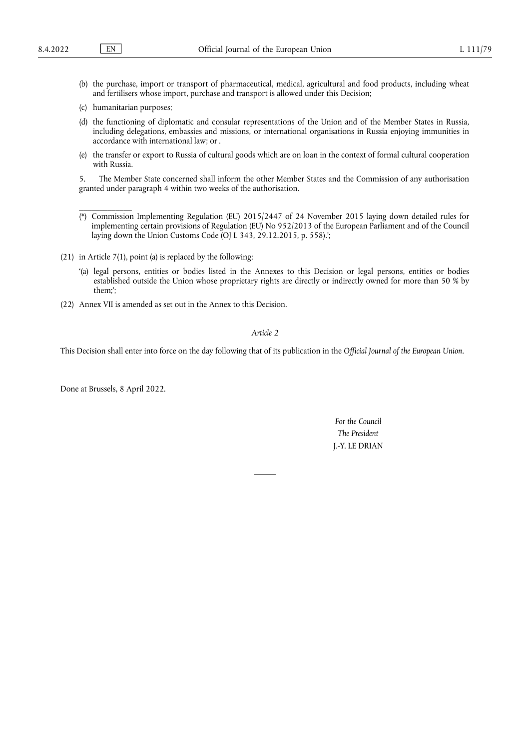\_\_\_\_\_\_\_\_\_\_\_\_\_

- (b) the purchase, import or transport of pharmaceutical, medical, agricultural and food products, including wheat and fertilisers whose import, purchase and transport is allowed under this Decision;
- (c) humanitarian purposes;
- (d) the functioning of diplomatic and consular representations of the Union and of the Member States in Russia, including delegations, embassies and missions, or international organisations in Russia enjoying immunities in accordance with international law; or .
- (e) the transfer or export to Russia of cultural goods which are on loan in the context of formal cultural cooperation with Russia.

5. The Member State concerned shall inform the other Member States and the Commission of any authorisation granted under paragraph 4 within two weeks of the authorisation.

- <span id="page-9-0"></span>(\*) Commission Implementing Regulation (EU) 2015/2447 of 24 November 2015 laying down detailed rules for implementing certain provisions of Regulation (EU) No 952/2013 of the European Parliament and of the Council laying down the Union Customs Code (OJ L 343, 29.12.2015, p. 558).';
- (21) in Article 7(1), point (a) is replaced by the following:
	- '(a) legal persons, entities or bodies listed in the Annexes to this Decision or legal persons, entities or bodies established outside the Union whose proprietary rights are directly or indirectly owned for more than 50 % by them;';
- (22) Annex VII is amended as set out in the Annex to this Decision.

# *Article 2*

This Decision shall enter into force on the day following that of its publication in the *Official Journal of the European Union*.

Done at Brussels, 8 April 2022.

*For the Council The President* J.-Y. LE DRIAN